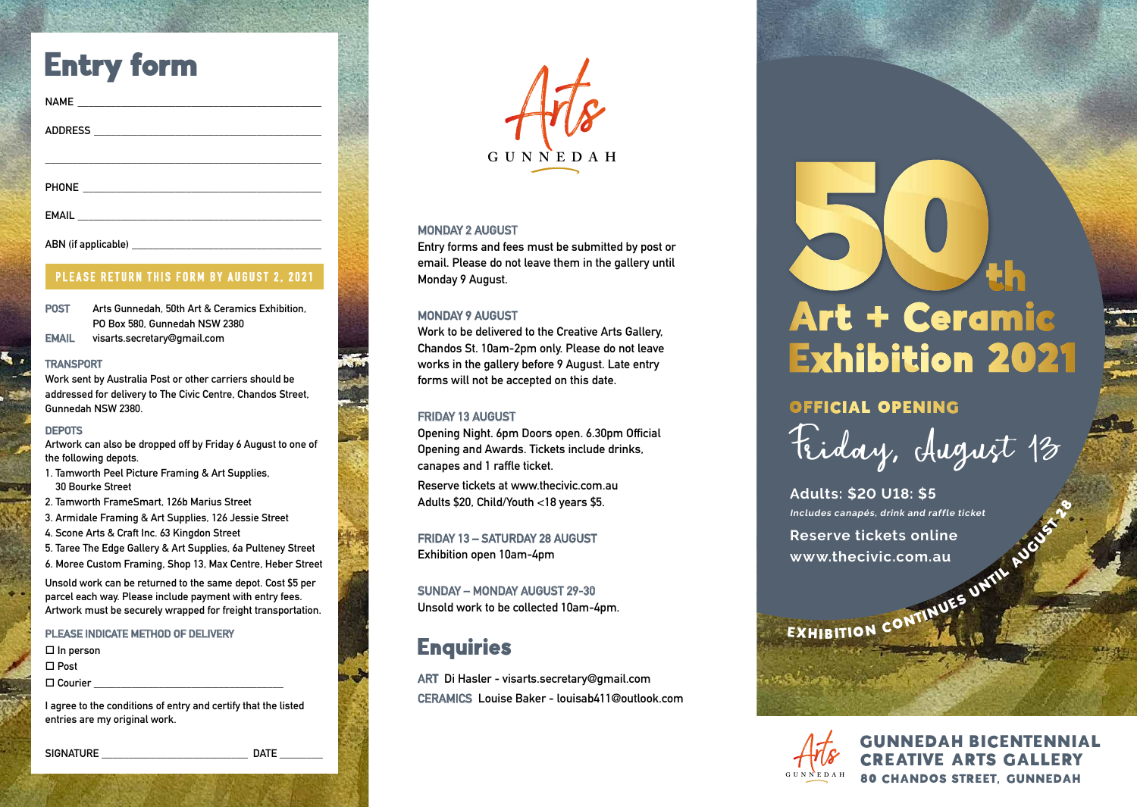## Entry form

| NAME           |  |  |  |
|----------------|--|--|--|
|                |  |  |  |
| <b>ADDRESS</b> |  |  |  |
|                |  |  |  |
|                |  |  |  |
|                |  |  |  |

**PHONE \_\_\_\_\_\_\_\_\_\_\_\_\_\_\_\_\_\_\_\_\_\_\_\_\_\_\_\_\_\_\_\_\_\_\_\_\_\_\_\_\_\_\_\_**

**EMAIL \_\_\_\_\_\_\_\_\_\_\_\_\_\_\_\_\_\_\_\_\_\_\_\_\_\_\_\_\_\_\_\_\_\_\_\_\_\_\_\_\_\_\_\_\_**

**ABN (if applicable) \_\_\_\_\_\_\_\_\_\_\_\_\_\_\_\_\_\_\_\_\_\_\_\_\_\_\_\_\_\_\_\_\_\_\_**

#### **PLEASE RETURN THIS FORM BY AUGUST 2, 2021**

**POST Arts Gunnedah, 50th Art & Ceramics Exhibition, PO Box 580, Gunnedah NSW 2380**

**EMAIL visarts.secretary@gmail.com**

#### **TRANSPORT**

**Work sent by Australia Post or other carriers should be addressed for delivery to The Civic Centre, Chandos Street, Gunnedah NSW 2380.**

#### **DEPOTS**

**Artwork can also be dropped off by Friday 6 August to one of the following depots.**

- **1. Tamworth Peel Picture Framing & Art Supplies, 30 Bourke Street**
- **2. Tamworth FrameSmart, 126b Marius Street**
- **3. Armidale Framing & Art Supplies, 126 Jessie Street**
- **4. Scone Arts & Craft Inc. 63 Kingdon Street**
- **5. Taree The Edge Gallery & Art Supplies, 6a Pulteney Street 6. Moree Custom Framing, Shop 13, Max Centre, Heber Street**

**Unsold work can be returned to the same depot. Cost \$5 per parcel each way. Please include payment with entry fees. Artwork must be securely wrapped for freight transportation.**

#### **PLEASE INDICATE METHOD OF DELIVERY**

 **In person Post Courier \_\_\_\_\_\_\_\_\_\_\_\_\_\_\_\_\_\_\_\_\_\_\_\_\_\_\_\_\_\_\_\_\_\_\_**

**I agree to the conditions of entry and certify that the listed entries are my original work.**

SIGNATURE **DATE** 

**GUNNE D A H**

#### **MONDAY 2 AUGUST**

**Entry forms and fees must be submitted by post or email. Please do not leave them in the gallery until Monday 9 August.**

#### **MONDAY 9 AUGUST**

**Work to be delivered to the Creative Arts Gallery, Chandos St. 10am-2pm only. Please do not leave works in the gallery before 9 August. Late entry forms will not be accepted on this date.**

#### **FRIDAY 13 AUGUST**

**Opening Night. 6pm Doors open. 6.30pm Official Opening and Awards. Tickets include drinks, canapes and 1 raffle ticket.** 

**Reserve tickets at www.thecivic.com.au Adults \$20, Child/Youth <18 years \$5.**

**FRIDAY 13 – SATURDAY 28 AUGUST Exhibition open 10am-4pm**

**SUNDAY – MONDAY AUGUST 29-30 Unsold work to be collected 10am-4pm.**

### **Enquiries**

**ART Di Hasler - visarts.secretary@gmail.com CERAMICS Louise Baker - louisab411@outlook.com**

# Art + Ceramic **Exhibition 2021**

### **OFFICIAL OPENING**

Friday, August 13

**Adults: \$20 U18: \$5 Includes canapés, drink and raffle ticket Reserve tickets online**  Includes canapés, drink and raffle ticket<br>
Reserve tickets online<br>
www.thecivic.com.au<br>
EXHIBITION CONTINUES UNTIL

**www.thecivic.com.au**

**GUNNE D A H**

**GUNNEDAH BICENTENNIAL** CREATIVE ARTS GALLERY 80 CHANDOS STREET, GUNNEDAH